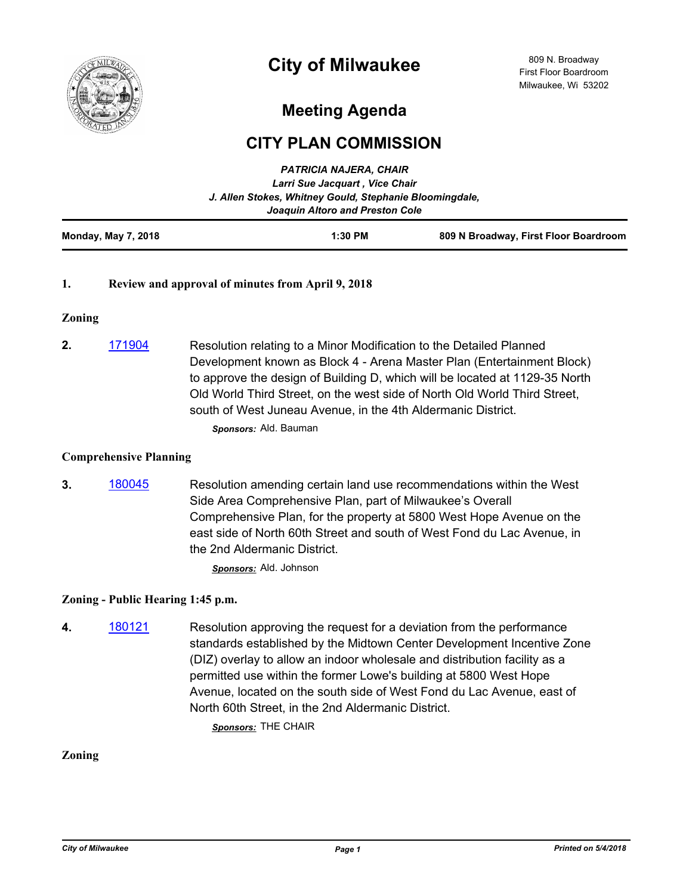

# **City of Milwaukee**

## **Meeting Agenda**

### **CITY PLAN COMMISSION**

*PATRICIA NAJERA, CHAIR*

|                            | <b>FAIRICIA NAJERA, CHAIR</b><br>Larri Sue Jacquart, Vice Chair<br>J. Allen Stokes, Whitney Gould, Stephanie Bloomingdale,<br>Joaquin Altoro and Preston Cole |                                       |
|----------------------------|---------------------------------------------------------------------------------------------------------------------------------------------------------------|---------------------------------------|
| <b>Monday, May 7, 2018</b> | $1:30$ PM                                                                                                                                                     | 809 N Broadway, First Floor Boardroom |

#### **1. Review and approval of minutes from April 9, 2018**

#### **Zoning**

**2.** [171904](http://milwaukee.legistar.com/gateway.aspx?m=l&id=/matter.aspx?key=47801) Resolution relating to a Minor Modification to the Detailed Planned Development known as Block 4 - Arena Master Plan (Entertainment Block) to approve the design of Building D, which will be located at 1129-35 North Old World Third Street, on the west side of North Old World Third Street, south of West Juneau Avenue, in the 4th Aldermanic District. *Sponsors:* Ald. Bauman

#### **Comprehensive Planning**

**3.** [180045](http://milwaukee.legistar.com/gateway.aspx?m=l&id=/matter.aspx?key=47915) Resolution amending certain land use recommendations within the West Side Area Comprehensive Plan, part of Milwaukee's Overall Comprehensive Plan, for the property at 5800 West Hope Avenue on the east side of North 60th Street and south of West Fond du Lac Avenue, in the 2nd Aldermanic District.

*Sponsors:* Ald. Johnson

#### **Zoning - Public Hearing 1:45 p.m.**

**4.** [180121](http://milwaukee.legistar.com/gateway.aspx?m=l&id=/matter.aspx?key=47994) Resolution approving the request for a deviation from the performance standards established by the Midtown Center Development Incentive Zone (DIZ) overlay to allow an indoor wholesale and distribution facility as a permitted use within the former Lowe's building at 5800 West Hope Avenue, located on the south side of West Fond du Lac Avenue, east of North 60th Street, in the 2nd Aldermanic District.

*Sponsors:* THE CHAIR

#### **Zoning**